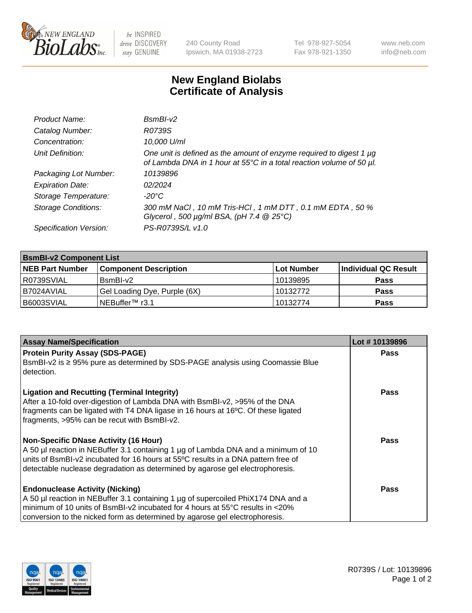

be INSPIRED drive DISCOVERY stay GENUINE

240 County Road Ipswich, MA 01938-2723 Tel 978-927-5054 Fax 978-921-1350 www.neb.com info@neb.com

## **New England Biolabs Certificate of Analysis**

| Product Name:              | $BsmBl-v2$                                                                                                                                  |
|----------------------------|---------------------------------------------------------------------------------------------------------------------------------------------|
| Catalog Number:            | R0739S                                                                                                                                      |
| Concentration:             | 10,000 U/ml                                                                                                                                 |
| Unit Definition:           | One unit is defined as the amount of enzyme required to digest 1 µg<br>of Lambda DNA in 1 hour at 55°C in a total reaction volume of 50 µl. |
| Packaging Lot Number:      | 10139896                                                                                                                                    |
| <b>Expiration Date:</b>    | 02/2024                                                                                                                                     |
| Storage Temperature:       | $-20^{\circ}$ C                                                                                                                             |
| <b>Storage Conditions:</b> | 300 mM NaCl, 10 mM Tris-HCl, 1 mM DTT, 0.1 mM EDTA, 50 %<br>Glycerol, 500 $\mu$ g/ml BSA, (pH 7.4 $@25°C$ )                                 |
| Specification Version:     | PS-R0739S/L v1.0                                                                                                                            |

| <b>BsmBI-v2 Component List</b> |                              |                   |                      |  |  |
|--------------------------------|------------------------------|-------------------|----------------------|--|--|
| <b>NEB Part Number</b>         | <b>Component Description</b> | <b>Lot Number</b> | Individual QC Result |  |  |
| R0739SVIAL                     | BsmBI-v2                     | 10139895          | <b>Pass</b>          |  |  |
| B7024AVIAL                     | Gel Loading Dye, Purple (6X) | 10132772          | <b>Pass</b>          |  |  |
| B6003SVIAL                     | INEBuffer™ r3.1              | 10132774          | <b>Pass</b>          |  |  |

| <b>Assay Name/Specification</b>                                                                                                                                                                                                                                                                          | Lot #10139896 |
|----------------------------------------------------------------------------------------------------------------------------------------------------------------------------------------------------------------------------------------------------------------------------------------------------------|---------------|
| <b>Protein Purity Assay (SDS-PAGE)</b>                                                                                                                                                                                                                                                                   | <b>Pass</b>   |
| BsmBI-v2 is ≥ 95% pure as determined by SDS-PAGE analysis using Coomassie Blue<br>detection.                                                                                                                                                                                                             |               |
| <b>Ligation and Recutting (Terminal Integrity)</b><br>After a 10-fold over-digestion of Lambda DNA with BsmBI-v2, >95% of the DNA<br>fragments can be ligated with T4 DNA ligase in 16 hours at 16°C. Of these ligated<br>fragments, >95% can be recut with BsmBI-v2.                                    | <b>Pass</b>   |
| <b>Non-Specific DNase Activity (16 Hour)</b><br>A 50 µl reaction in NEBuffer 3.1 containing 1 µg of Lambda DNA and a minimum of 10<br>units of BsmBI-v2 incubated for 16 hours at 55°C results in a DNA pattern free of<br>detectable nuclease degradation as determined by agarose gel electrophoresis. | <b>Pass</b>   |
| <b>Endonuclease Activity (Nicking)</b><br>A 50 µl reaction in NEBuffer 3.1 containing 1 µg of supercoiled PhiX174 DNA and a<br>minimum of 10 units of BsmBI-v2 incubated for 4 hours at 55°C results in <20%<br>conversion to the nicked form as determined by agarose gel electrophoresis.              | <b>Pass</b>   |